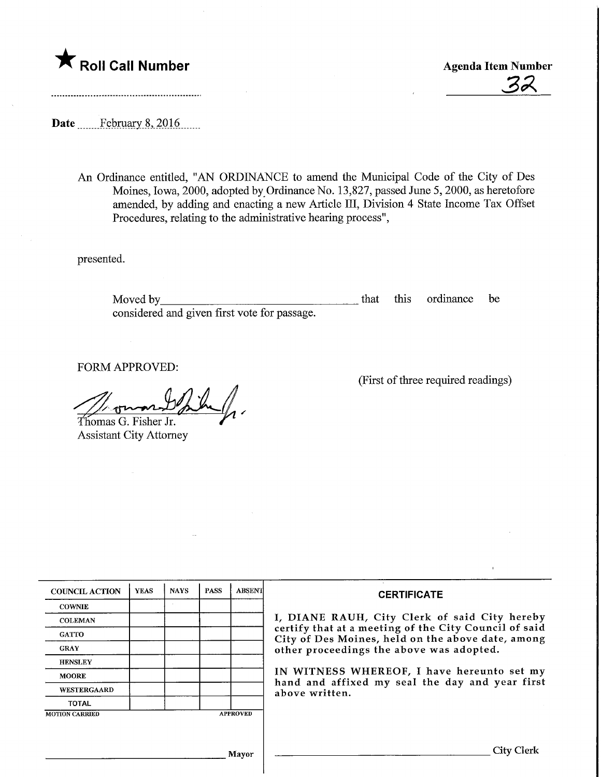# $\bigstar$  Roll Call Number

Agenda Item Number<br>32

Date ...........February 8, 2016.......

An Ordinance entitled, "AN ORDINANCE to amend the Municipal Code of the City of Des Moines, Iowa, 2000, adopted by Ordinance No. 13,827, passed June 5, 2000, as heretofore amended, by adding and enacting a new Article III, Division 4 State Income Tax Offset Procedures, relating to the administrative hearing process",

presented.

Moved by the contract of the second service of the service of the series of the series of the series of the series of the series of the series of the series of the series of the series of the series of the series of the se considered and given first vote for passage. that this ordinance be

FORM APPROVED:

Thomas G. Fisher Jr.

Assistant City Attorney

(First of three required readings)

| <b>COUNCIL ACTION</b> | <b>YEAS</b>    | <b>NAYS</b> | <b>PASS</b> | <b>ABSENT</b>                                                                                              | <b>CERTIFICATE</b>                                                                            |
|-----------------------|----------------|-------------|-------------|------------------------------------------------------------------------------------------------------------|-----------------------------------------------------------------------------------------------|
| <b>COWNIE</b>         |                |             |             |                                                                                                            |                                                                                               |
| <b>COLEMAN</b>        |                |             |             |                                                                                                            | I, DIANE RAUH, City Clerk of said City hereby                                                 |
| <b>GATTO</b>          |                |             |             | certify that at a meeting of the City Council of said<br>City of Des Moines, held on the above date, among |                                                                                               |
| <b>GRAY</b>           |                |             |             |                                                                                                            | other proceedings the above was adopted.                                                      |
| <b>HENSLEY</b>        |                |             |             |                                                                                                            |                                                                                               |
| <b>MOORE</b>          |                |             |             |                                                                                                            | IN WITNESS WHEREOF, I have hereunto set my<br>hand and affixed my seal the day and year first |
| <b>WESTERGAARD</b>    | above written. |             |             |                                                                                                            |                                                                                               |
| <b>TOTAL</b>          |                |             |             |                                                                                                            |                                                                                               |
| <b>MOTION CARRIED</b> |                |             |             | <b>APPROVED</b>                                                                                            |                                                                                               |
|                       |                |             |             |                                                                                                            |                                                                                               |
|                       |                |             |             |                                                                                                            | City Clerk                                                                                    |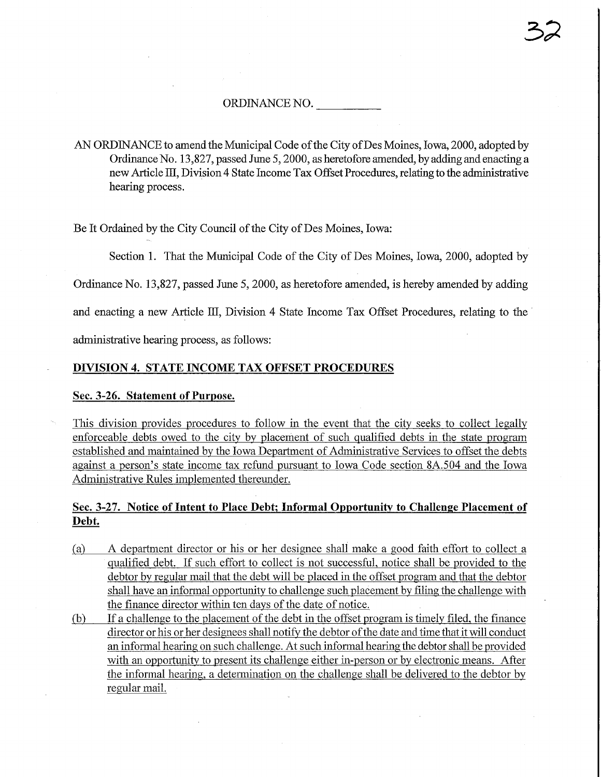### ORDINANCE NO.

AN ORDINANCE to amend the Municipal Code of the City of Des Moines, Iowa, 2000, adopted by Ordinance No. 13,827, passed June 5,2000, as heretofore amended, by adding and enacting a new Article HI, Division 4 State Income Tax Offset Procedures, relating to the administrative hearing process.

Be It Ordained by the City Council of the City of Des Moines, Iowa:

Section 1. That the Municipal Code of the City of Des Moines, Iowa, 2000, adopted by

Ordinance No. 13,827, passed June 5,2000, as heretofore amended, is hereby amended by adding

and enacting a new Article HI, Division 4 State Income Tax Offset Procedures, relating to the

administrative hearing process, as follows:

## DIVISION 4. STATE INCOME TAX OFFSET PROCEDURES

#### Sec. 3-26. Statement of Purpose.

This division provides procedures to follow in the event that the city seeks to collect legally enforceable debts owed to the city by placement of such qualified debts in the state program established and maintained by the Iowa Department of Administrative Services to offset the debts against a person's state income tax refund pursuant to Iowa Code section 8A.504 and the Iowa Administrative Rules implemented thereunder.

# Sec. 3-27. Notice of Intent to Place Debt; Informal Opportunity to Challenge Placement of Debt.

- (a) A department director or his or her designee shall make a good faith effort to collect a qualified debt. If such effort to collect is not successful, notice shall be provided to the debtor by regular mail that the debt will be placed in the offset program and that the debtor shall have an informal opportunity to challenge such placement by filing the challenge with the finance director within ten days of the date of notice.
- fb) If a challenge to the placement of the debt in the offset program is timely filed, the finance director or his or her designees shall notify the debtor of the date and time that it will conduct an informal hearing on such challenge. At such informal hearing the debtor shall be provided with an opportunity to present its challenge either in-person or by electronic means. After the informal hearing, a determination on the challenge shall be delivered to the debtor by regular mail.